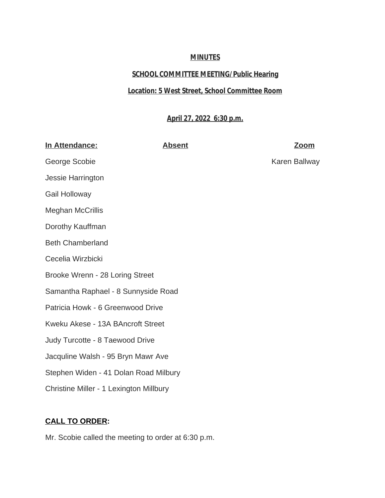## **MINUTES**

# **SCHOOL COMMITTEE MEETING/Public Hearing**

## **Location: 5 West Street, School Committee Room**

## **April 27, 2022 6:30 p.m.**

| <b>Absent</b>                                  | Zoom          |
|------------------------------------------------|---------------|
|                                                | Karen Ballway |
|                                                |               |
|                                                |               |
|                                                |               |
|                                                |               |
|                                                |               |
|                                                |               |
|                                                |               |
| Samantha Raphael - 8 Sunnyside Road            |               |
| Patricia Howk - 6 Greenwood Drive              |               |
| Kweku Akese - 13A BAncroft Street              |               |
|                                                |               |
| Jacquline Walsh - 95 Bryn Mawr Ave             |               |
| Stephen Widen - 41 Dolan Road Milbury          |               |
| <b>Christine Miller - 1 Lexington Millbury</b> |               |
|                                                |               |

# **CALL TO ORDER:**

Mr. Scobie called the meeting to order at 6:30 p.m.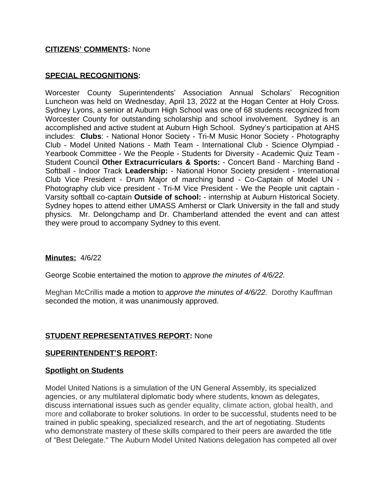### **CITIZENS' COMMENTS:** None

#### **SPECIAL RECOGNITIONS:**

Worcester County Superintendents' Association Annual Scholars' Recognition Luncheon was held on Wednesday, April 13, 2022 at the Hogan Center at Holy Cross. Sydney Lyons, a senior at Auburn High School was one of 68 students recognized from Worcester County for outstanding scholarship and school involvement. Sydney is an accomplished and active student at Auburn High School. Sydney's participation at AHS includes: **Clubs**: - National Honor Society - Tri-M Music Honor Society - Photography Club - Model United Nations - Math Team - International Club - Science Olympiad - Yearbook Committee - We the People - Students for Diversity - Academic Quiz Team - Student Council **Other Extracurriculars & Sports:** - Concert Band - Marching Band - Softball - Indoor Track **Leadership:** - National Honor Society president - International Club Vice President - Drum Major of marching band - Co-Captain of Model UN - Photography club vice president - Tri-M Vice President - We the People unit captain - Varsity softball co-captain **Outside of school:** - internship at Auburn Historical Society. Sydney hopes to attend either UMASS Amherst or Clark University in the fall and study physics. Mr. Delongchamp and Dr. Chamberland attended the event and can attest they were proud to accompany Sydney to this event.

#### **Minutes:** 4/6/22

George Scobie entertained the motion to *approve the minutes of 4/6/22.*

Meghan McCrillis made a motion to *approve the minutes of 4/6/22.* Dorothy Kauffman seconded the motion, it was unanimously approved.

#### **STUDENT REPRESENTATIVES REPORT:** None

#### **SUPERINTENDENT'S REPORT:**

#### **Spotlight on Students**

Model United Nations is a simulation of the UN General Assembly, its specialized agencies, or any multilateral diplomatic body where students, known as delegates, discuss international issues such as gender equality, climate action, global health, and more and collaborate to broker solutions. In order to be successful, students need to be trained in public speaking, specialized research, and the art of negotiating. Students who demonstrate mastery of these skills compared to their peers are awarded the title of "Best Delegate." The Auburn Model United Nations delegation has competed all over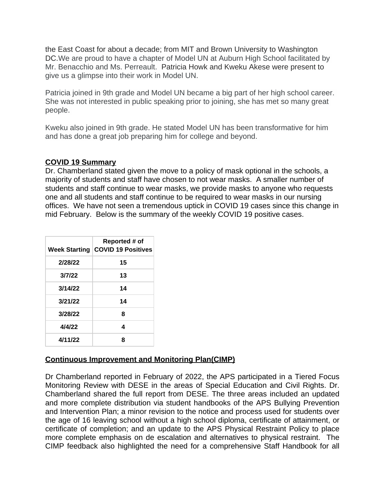the East Coast for about a decade; from MIT and Brown University to Washington DC.We are proud to have a chapter of Model UN at Auburn High School facilitated by Mr. Benacchio and Ms. Perreault. Patricia Howk and Kweku Akese were present to give us a glimpse into their work in Model UN.

Patricia joined in 9th grade and Model UN became a big part of her high school career. She was not interested in public speaking prior to joining, she has met so many great people.

Kweku also joined in 9th grade. He stated Model UN has been transformative for him and has done a great job preparing him for college and beyond.

## **COVID 19 Summary**

Dr. Chamberland stated given the move to a policy of mask optional in the schools, a majority of students and staff have chosen to not wear masks. A smaller number of students and staff continue to wear masks, we provide masks to anyone who requests one and all students and staff continue to be required to wear masks in our nursing offices. We have not seen a tremendous uptick in COVID 19 cases since this change in mid February. Below is the summary of the weekly COVID 19 positive cases.

|         | Reported # of<br>Week Starting COVID 19 Positives |
|---------|---------------------------------------------------|
| 2/28/22 | 15                                                |
| 3/7/22  | 13                                                |
| 3/14/22 | 14                                                |
| 3/21/22 | 14                                                |
| 3/28/22 | 8                                                 |
| 4/4/22  | 4                                                 |
| 4/11/22 | 8                                                 |

## **Continuous Improvement and Monitoring Plan(CIMP)**

Dr Chamberland reported in February of 2022, the APS participated in a Tiered Focus Monitoring Review with DESE in the areas of Special Education and Civil Rights. Dr. Chamberland shared the full report from DESE. The three areas included an updated and more complete distribution via student handbooks of the APS Bullying Prevention and Intervention Plan; a minor revision to the notice and process used for students over the age of 16 leaving school without a high school diploma, certificate of attainment, or certificate of completion; and an update to the APS Physical Restraint Policy to place more complete emphasis on de escalation and alternatives to physical restraint. The CIMP feedback also highlighted the need for a comprehensive Staff Handbook for all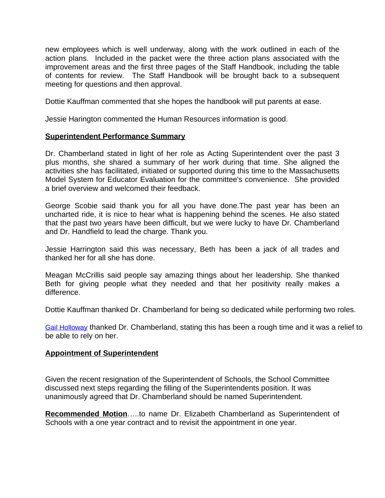new employees which is well underway, along with the work outlined in each of the action plans. Included in the packet were the three action plans associated with the improvement areas and the first three pages of the Staff Handbook, including the table of contents for review. The Staff Handbook will be brought back to a subsequent meeting for questions and then approval.

Dottie Kauffman commented that she hopes the handbook will put parents at ease.

Jessie Harington commented the Human Resources information is good.

## **Superintendent Performance Summary**

Dr. Chamberland stated in light of her role as Acting Superintendent over the past 3 plus months, she shared a summary of her work during that time. She aligned the activities she has facilitated, initiated or supported during this time to the Massachusetts Model System for Educator Evaluation for the committee's convenience. She provided a brief overview and welcomed their feedback.

George Scobie said thank you for all you have done.The past year has been an uncharted ride, it is nice to hear what is happening behind the scenes. He also stated that the past two years have been difficult, but we were lucky to have Dr. Chamberland and Dr. Handfield to lead the charge. Thank you.

Jessie Harrington said this was necessary, Beth has been a jack of all trades and thanked her for all she has done.

Meagan McCrillis said people say amazing things about her leadership. She thanked Beth for giving people what they needed and that her positivity really makes a difference.

Dottie Kauffman thanked Dr. Chamberland for being so dedicated while performing two roles.

[Gail Holloway](mailto:gholloway3@aol.com) thanked Dr. Chamberland, stating this has been a rough time and it was a relief to be able to rely on her.

### **Appointment of Superintendent**

Given the recent resignation of the Superintendent of Schools, the School Committee discussed next steps regarding the filling of the Superintendents position. It was unanimously agreed that Dr. Chamberland should be named Superintendent.

**Recommended Motion**…..to name Dr. Elizabeth Chamberland as Superintendent of Schools with a one year contract and to revisit the appointment in one year.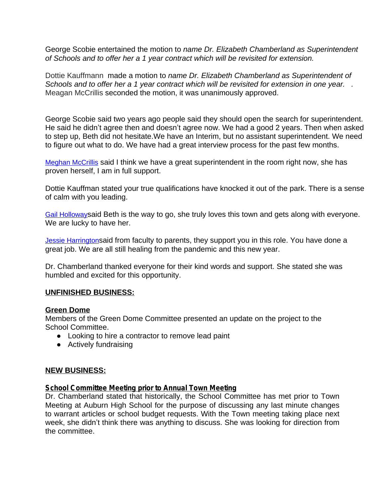George Scobie entertained the motion to *name Dr. Elizabeth Chamberland as Superintendent of Schools and to offer her a 1 year contract which will be revisited for extension.*

Dottie Kauffmann made a motion to *name Dr. Elizabeth Chamberland as Superintendent of Schools and to offer her a 1 year contract which will be revisited for extension in one year. .*  Meagan McCrillis seconded the motion, it was unanimously approved.

George Scobie said two years ago people said they should open the search for superintendent. He said he didn't agree then and doesn't agree now. We had a good 2 years. Then when asked to step up, Beth did not hesitate.We have an Interim, but no assistant superintendent. We need to figure out what to do. We have had a great interview process for the past few months.

[Meghan McCrillis](mailto:meghanmccrillis@gmail.com) said I think we have a great superintendent in the room right now, she has [proven herself, I am in full support.](mailto:meghanmccrillis@gmail.com) 

[Dottie Kauffman stated your true qualifications have knocked it out of the park. There is a sense](mailto:meghanmccrillis@gmail.com) [of calm with you leading.](mailto:meghanmccrillis@gmail.com) 

[Gail Holloway](mailto:gholloway3@aol.com)said Beth is the way to go, she truly loves this town and gets along with everyone. [We are lucky to have her.](mailto:gholloway3@aol.com) 

**[Jessie Harrington](mailto:jharrington4940@hotmail.com)said from faculty to parents, they support you in this role. You have done a** [great job. We are all still healing from the pandemic and this new year.](mailto:jharrington4940@hotmail.com) 

[Dr. Chamberland thanked everyone for their kind words and support. She stated she was](mailto:jharrington4940@hotmail.com)  [humbled and excited for this opportunity.](mailto:jharrington4940@hotmail.com) 

### **[UNFINISHED BUSINESS:](mailto:jharrington4940@hotmail.com)**

#### **[Green Dome](mailto:jharrington4940@hotmail.com)**

[Members of the Green Dome Committee presented an update on the project to the](mailto:jharrington4940@hotmail.com)  [School Committee.](mailto:jharrington4940@hotmail.com) 

- [Looking to hire a contractor to remove lead paint](mailto:jharrington4940@hotmail.com)
- [Actively fundraising](mailto:jharrington4940@hotmail.com)

#### **[NEW BUSINESS:](mailto:jharrington4940@hotmail.com)**

#### **[School Committee Meeting prior to Annual Town Meeting](mailto:jharrington4940@hotmail.com)**

Dr. [Chamberland](mailto:jharrington4940@hotmail.com) stated that historically, the School Committee has met prior to Town Meeting at Auburn High School for the purpose of [discussing](mailto:jharrington4940@hotmail.com) any last [minute](mailto:jharrington4940@hotmail.com) [changes](mailto:jharrington4940@hotmail.com) to warrant articles or school budget [requests.](mailto:jharrington4940@hotmail.com) With the Town meeting taking place next week, she didn't think there was [anything](mailto:jharrington4940@hotmail.com) to discuss. She was looking for direction from [the committee.](mailto:jharrington4940@hotmail.com)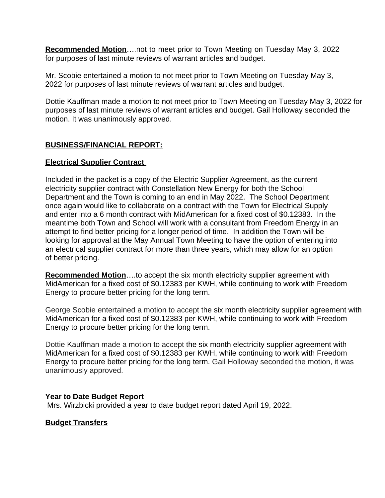**Recommended Motion**….not to meet prior to Town Meeting on Tuesday May 3, 2022 for purposes of last minute reviews of warrant articles and budget.

Mr. Scobie entertained a motion to not meet prior to Town Meeting on Tuesday May 3, 2022 for purposes of last minute reviews of warrant articles and budget.

Dottie Kauffman made a motion to not meet prior to Town Meeting on Tuesday May 3, 2022 for purposes of last minute reviews of warrant articles and budget. Gail Holloway seconded the motion. It was unanimously approved.

## **BUSINESS/FINANCIAL REPORT:**

## **Electrical Supplier Contract**

Included in the packet is a copy of the Electric Supplier Agreement, as the current electricity supplier contract with Constellation New Energy for both the School Department and the Town is coming to an end in May 2022. The School Department once again would like to collaborate on a contract with the Town for Electrical Supply and enter into a 6 month contract with MidAmerican for a fixed cost of \$0.12383. In the meantime both Town and School will work with a consultant from Freedom Energy in an attempt to find better pricing for a longer period of time. In addition the Town will be looking for approval at the May Annual Town Meeting to have the option of entering into an electrical supplier contract for more than three years, which may allow for an option of better pricing.

**Recommended Motion**….to accept the six month electricity supplier agreement with MidAmerican for a fixed cost of \$0.12383 per KWH, while continuing to work with Freedom Energy to procure better pricing for the long term.

George Scobie entertained a motion to accept the six month electricity supplier agreement with MidAmerican for a fixed cost of \$0.12383 per KWH, while continuing to work with Freedom Energy to procure better pricing for the long term.

Dottie Kauffman made a motion to accept the six month electricity supplier agreement with MidAmerican for a fixed cost of \$0.12383 per KWH, while continuing to work with Freedom Energy to procure better pricing for the long term. Gail Holloway seconded the motion, it was unanimously approved.

### **Year to Date Budget Report**

Mrs. Wirzbicki provided a year to date budget report dated April 19, 2022.

## **Budget Transfers**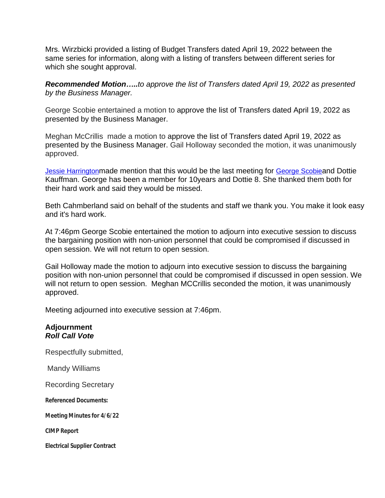Mrs. Wirzbicki provided a listing of Budget Transfers dated April 19, 2022 between the same series for information, along with a listing of transfers between different series for which she sought approval.

*Recommended Motion…..to approve the list of Transfers dated April 19, 2022 as presented by the Business Manager.*

George Scobie entertained a motion to approve the list of Transfers dated April 19, 2022 as presented by the Business Manager.

Meghan McCrillis made a motion to approve the list of Transfers dated April 19, 2022 as presented by the Business Manager. Gail Holloway seconded the motion, it was unanimously approved.

[Jessie Harrington](mailto:jharrington4940@hotmail.com)[made mention that this would be the last meeting for](mailto:jharrington4940@hotmail.com) [George Scobie](mailto:sblackdiamond@verizon.net)[and Dottie](mailto:sblackdiamond@verizon.net)  [Kauffman. George has been a member for 10years and Dottie 8. She thanked them both for](mailto:sblackdiamond@verizon.net)  [their hard work and said they would be missed.](mailto:sblackdiamond@verizon.net) 

[Beth Cahmberland said on behalf of the students and staff we thank you. You make it look easy](mailto:sblackdiamond@verizon.net) [and it's hard work.](mailto:sblackdiamond@verizon.net)

[At 7:46pm George Scobie entertained the motion to adjourn into executive session to discuss](mailto:sblackdiamond@verizon.net)  [the bargaining position with non-union personnel that could be compromised if discussed in](mailto:sblackdiamond@verizon.net)  [open session. We will not return to open session.](mailto:sblackdiamond@verizon.net) 

[Gail Holloway made the motion to adjourn into executive session to discuss the bargaining](mailto:sblackdiamond@verizon.net)  [position with non-union personnel that could be compromised if discussed in open session. We](mailto:sblackdiamond@verizon.net)  will not return to open session. Meghan MCCrillis seconded the motion, it was unanimously [approved.](mailto:sblackdiamond@verizon.net) 

[Meeting adjourned into executive session at 7:46pm.](mailto:sblackdiamond@verizon.net)

## **[Adjournment](mailto:sblackdiamond@verizon.net)** *[Roll Call Vote](mailto:sblackdiamond@verizon.net)*

[Respectfully submitted,](mailto:sblackdiamond@verizon.net)

 [Mandy Williams](mailto:sblackdiamond@verizon.net)

[Recording Secretary](mailto:sblackdiamond@verizon.net)

**[Referenced Documents:](mailto:sblackdiamond@verizon.net)**

**[Meeting Minutes for 4/6/22](mailto:sblackdiamond@verizon.net)**

**[CIMP Report](mailto:sblackdiamond@verizon.net)**

**[Electrical Supplier Contract](mailto:sblackdiamond@verizon.net)**